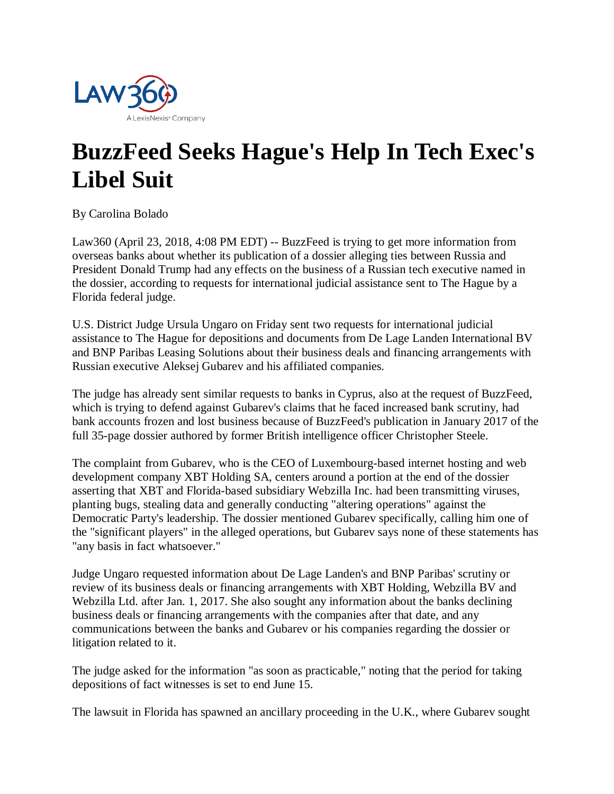

## **BuzzFeed Seeks Hague's Help In Tech Exec's Libel Suit**

By Carolina Bolado

Law360 (April 23, 2018, 4:08 PM EDT) -- BuzzFeed is trying to get more information from overseas banks about whether its publication of a dossier alleging ties between Russia and President Donald Trump had any effects on the business of a Russian tech executive named in the dossier, according to requests for international judicial assistance sent to The Hague by a Florida federal judge.

U.S. District Judge Ursula Ungaro on Friday sent two requests for international judicial assistance to The Hague for depositions and documents from De Lage Landen International BV and BNP Paribas Leasing Solutions about their business deals and financing arrangements with Russian executive Aleksej Gubarev and his affiliated companies.

The judge has already sent similar requests to banks in Cyprus, also at the request of BuzzFeed, which is trying to defend against Gubarev's claims that he faced increased bank scrutiny, had bank accounts frozen and lost business because of BuzzFeed's publication in January 2017 of the full 35-page dossier authored by former British intelligence officer Christopher Steele.

The complaint from Gubarev, who is the CEO of Luxembourg-based internet hosting and web development company XBT Holding SA, centers around a portion at the end of the dossier asserting that XBT and Florida-based subsidiary Webzilla Inc. had been transmitting viruses, planting bugs, stealing data and generally conducting "altering operations" against the Democratic Party's leadership. The dossier mentioned Gubarev specifically, calling him one of the "significant players" in the alleged operations, but Gubarev says none of these statements has "any basis in fact whatsoever."

Judge Ungaro requested information about De Lage Landen's and BNP Paribas' scrutiny or review of its business deals or financing arrangements with XBT Holding, Webzilla BV and Webzilla Ltd. after Jan. 1, 2017. She also sought any information about the banks declining business deals or financing arrangements with the companies after that date, and any communications between the banks and Gubarev or his companies regarding the dossier or litigation related to it.

The judge asked for the information "as soon as practicable," noting that the period for taking depositions of fact witnesses is set to end June 15.

The lawsuit in Florida has spawned an ancillary proceeding in the U.K., where Gubarev sought